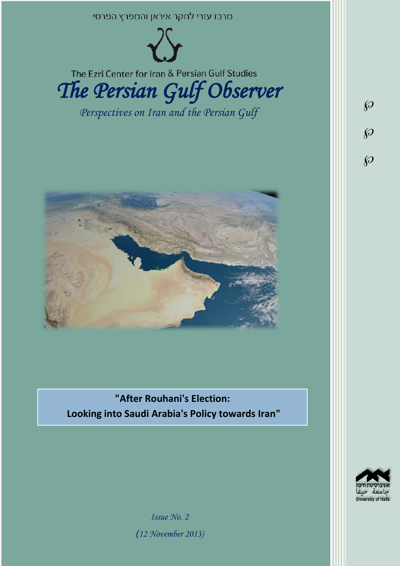



The Ezri Center for Iran & Persian Gulf Studies

*The Persian Gulf Observer* 

*Perspectives on Iran and the Persian Gulf* 



**"After Rouhani's Election: Looking into Saudi Arabia's Policy towards Iran"**



 $\wp$ 

 $\wp$ 

 $\wp$ 

*Issue No. 2 )12 November 2013)*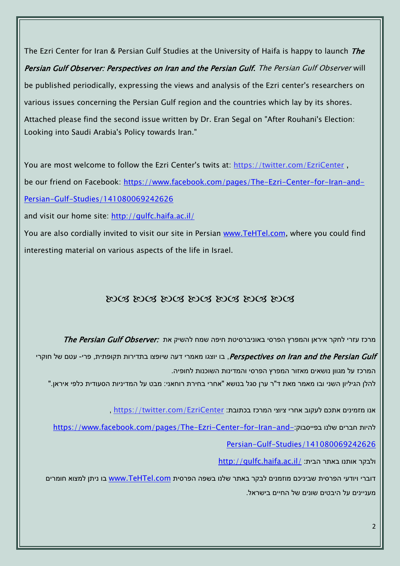The Ezri Center for Iran & Persian Gulf Studies at the University of Haifa is happy to launch *The* Persian Gulf Observer: Perspectives on Iran and the Persian Gulf. The Persian Gulf Observer will be published periodically, expressing the views and analysis of the Ezri center's researchers on various issues concerning the Persian Gulf region and the countries which lay by its shores. Attached please find the second issue written by Dr. Eran Segal on "After Rouhani's Election: Looking into Saudi Arabia's Policy towards Iran."

You are most welcome to follow the Ezri Center's twits at: <https://twitter.com/EzriCenter>, be our friend on Facebook: [https://www.facebook.com/pages/The-Ezri-Center-for-Iran-and-](https://www.facebook.com/pages/The-Ezri-Center-for-Iran-and-Persian-Gulf-Studies/141080069242626)[Persian-Gulf-Studies/141080069242626](https://www.facebook.com/pages/The-Ezri-Center-for-Iran-and-Persian-Gulf-Studies/141080069242626)

and visit our home site:<http://gulfc.haifa.ac.il/>

You are also cordially invited to visit our site in Persian [www.TeHTel.com,](http://www.tehtel.com/) where you could find interesting material on various aspects of the life in Israel.

## DOG DOG DOG DOG DOG DOG DOG

מרכז עזרי לחקר איראן והמפרץ הפרסי באוניברסיטת חיפה שמח להשיק את :*The Persian Gulf Observer* 

Perspectives on Iran and the Persian Gulf, בו יוצגו מאמרי דעה שיופצו בתדירות תקופתית, פרי- עטם של חוקרי המרכז על מגוון נושאים מאזור המפרץ הפרסי והמדינות השוכנות לחופיה.

להלן הגיליון השני ובו מאמר מאת ד"ר ערן סגל בנושא "אחרי בחירת רוחאני: מבט על המדיניות הסעודית כלפי איראן."

אנו מזמינים אתכם לעקוב אחרי ציוצי המרכז בכתובת: [EzriCenter/com.twitter://https](https://twitter.com/EzriCenter) ,

[https://www.facebook.com/pages/The-Ezri-Center-for-Iran-and-](https://www.facebook.com/pages/The-Ezri-Center-for-Iran-and-Persian-Gulf-Studies/141080069242626):כהיות חברים שלנו בפייסבוק

[Persian-Gulf-Studies/141080069242626](https://www.facebook.com/pages/The-Ezri-Center-for-Iran-and-Persian-Gulf-Studies/141080069242626)

<http://gulfc.haifa.ac.il/> ולבקר אותנו באתר הבית:

דוברי ויודעי הפרסית שביניכם מוזמנים לבקר באתר שלנו בשפה הפרסית [com.TeHTel.www](http://www.tehtel.com/) בו ניתן למצוא חומרים מעניינים על היבטים שונים של החיים בישראל.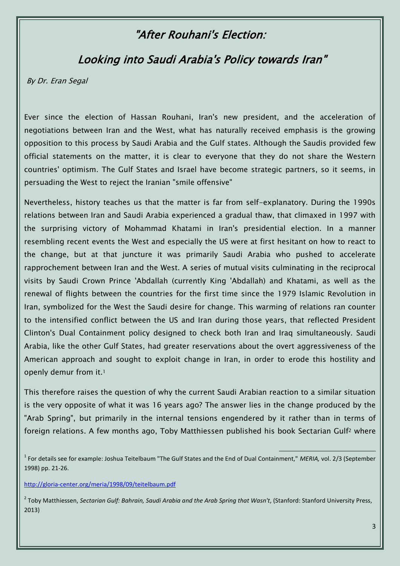## "After Rouhani's Election:

## Looking into Saudi Arabia's Policy towards Iran"

By Dr. Eran Segal

Ever since the election of Hassan Rouhani, Iran's new president, and the acceleration of negotiations between Iran and the West, what has naturally received emphasis is the growing opposition to this process by Saudi Arabia and the Gulf states. Although the Saudis provided few official statements on the matter, it is clear to everyone that they do not share the Western countries' optimism. The Gulf States and Israel have become strategic partners, so it seems, in persuading the West to reject the Iranian "smile offensive"

Nevertheless, history teaches us that the matter is far from self-explanatory. During the 1990s relations between Iran and Saudi Arabia experienced a gradual thaw, that climaxed in 1997 with the surprising victory of Mohammad Khatami in Iran's presidential election. In a manner resembling recent events the West and especially the US were at first hesitant on how to react to the change, but at that juncture it was primarily Saudi Arabia who pushed to accelerate rapprochement between Iran and the West. A series of mutual visits culminating in the reciprocal visits by Saudi Crown Prince 'Abdallah (currently King 'Abdallah) and Khatami, as well as the renewal of flights between the countries for the first time since the 1979 Islamic Revolution in Iran, symbolized for the West the Saudi desire for change. This warming of relations ran counter to the intensified conflict between the US and Iran during those years, that reflected President Clinton's Dual Containment policy designed to check both Iran and Iraq simultaneously. Saudi Arabia, like the other Gulf States, had greater reservations about the overt aggressiveness of the American approach and sought to exploit change in Iran, in order to erode this hostility and openly demur from it.<sup>1</sup>

This therefore raises the question of why the current Saudi Arabian reaction to a similar situation is the very opposite of what it was 16 years ago? The answer lies in the change produced by the "Arab Spring", but primarily in the internal tensions engendered by it rather than in terms of foreign relations. A few months ago, Toby Matthiessen published his book Sectarian Gulf<sup>2</sup> where

 $\overline{a}$ 

<http://gloria-center.org/meria/1998/09/teitelbaum.pdf>

2 Toby Matthiessen, *Sectarian Gulf: Bahrain, Saudi Arabia and the Arab Spring that Wasn't*, (Stanford: Stanford University Press, 2013)

<sup>1</sup> For details see for example: Joshua Teitelbaum "The Gulf States and the End of Dual Containment," *MERIA,* vol. 2/3 (September 1998) pp. 21-26.